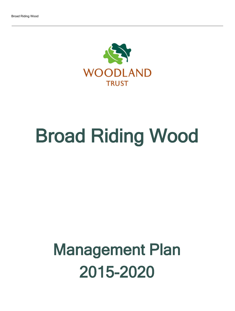

# Broad Riding Wood

## Management Plan 2015-2020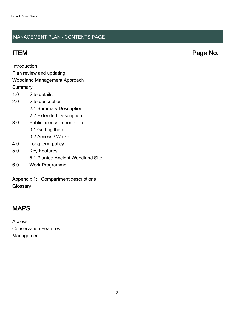### MANAGEMENT PLAN - CONTENTS PAGE

ITEM Page No.

Introduction

Plan review and updating

#### Woodland Management Approach

**Summary** 

- 1.0 Site details
- 2.0 Site description
	- 2.1 Summary Description
	- 2.2 Extended Description
- 3.0 Public access information
	- 3.1 Getting there
	- 3.2 Access / Walks
- 4.0 Long term policy
- 5.0 Key Features 5.1 Planted Ancient Woodland Site 6.0 Work Programme
- Appendix 1: Compartment descriptions

**Glossary** 

## MAPS

Access Conservation Features Management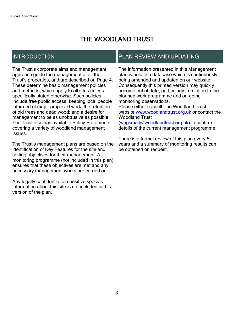## THE WOODLAND TRUST

## INTRODUCTION

The Trust's corporate aims and management approach guide the management of all the Trust's properties, and are described on Page 4. These determine basic management policies and methods, which apply to all sites unless specifically stated otherwise. Such policies include free public access; keeping local people informed of major proposed work; the retention of old trees and dead wood; and a desire for management to be as unobtrusive as possible. The Trust also has available Policy Statements covering a variety of woodland management issues.

The Trust's management plans are based on the identification of Key Features for the site and setting objectives for their management. A monitoring programme (not included in this plan) ensures that these objectives are met and any necessary management works are carried out.

Any legally confidential or sensitive species information about this site is not included in this version of the plan.

## PLAN REVIEW AND UPDATING

The information presented in this Management plan is held in a database which is continuously being amended and updated on our website. Consequently this printed version may quickly become out of date, particularly in relation to the planned work programme and on-going monitoring observations. Please either consult The Woodland Trust website [www.woodlandtrust.org.uk](http://www.woodlandtrust.org.uk/) or contact the Woodland Trust [\(wopsmail@woodlandtrust.org.uk](mailto:wopsmail@woodlandtrust.org.uk)) to confirm

details of the current management programme.

There is a formal review of this plan every 5 years and a summary of monitoring results can be obtained on request.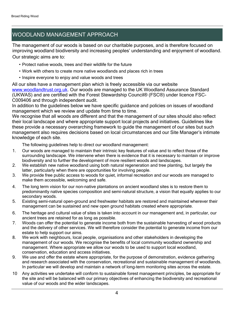## WOODLAND MANAGEMENT APPROACH

The management of our woods is based on our charitable purposes, and is therefore focused on improving woodland biodiversity and increasing peoples' understanding and enjoyment of woodland. Our strategic aims are to:

- Protect native woods, trees and their wildlife for the future
- Work with others to create more native woodlands and places rich in trees
- Inspire everyone to enjoy and value woods and trees

All our sites have a management plan which is freely accessible via our website [www.woodlandtrust.org.uk.](http://www.woodlandtrust.org.uk/) Our woods are managed to the UK Woodland Assurance Standard (UKWAS) and are certified with the Forest Stewardship Council® (FSC®) under licence FSC-C009406 and through independent audit.

In addition to the guidelines below we have specific guidance and policies on issues of woodland management which we review and update from time to time.

We recognise that all woods are different and that the management of our sites should also reflect their local landscape and where appropriate support local projects and initiatives. Guidelines like these provide a necessary overarching framework to guide the management of our sites but such management also requires decisions based on local circumstances and our Site Manager's intimate knowledge of each site.

The following guidelines help to direct our woodland management:

- 1. Our woods are managed to maintain their intrinsic key features of value and to reflect those of the surrounding landscape. We intervene when there is evidence that it is necessary to maintain or improve biodiversity and to further the development of more resilient woods and landscapes.
- 2. We establish new native woodland using both natural regeneration and tree planting, but largely the latter, particularly when there are opportunities for involving people.
- 3. We provide free public access to woods for quiet, informal recreation and our woods are managed to make them accessible, welcoming and safe.
- 4. The long term vision for our non-native plantations on ancient woodland sites is to restore them to predominantly native species composition and semi-natural structure, a vision that equally applies to our secondary woods.
- 5. Existing semi-natural open-ground and freshwater habitats are restored and maintained wherever their management can be sustained and new open ground habitats created where appropriate.
- 6. The heritage and cultural value of sites is taken into account in our management and, in particular, our ancient trees are retained for as long as possible.
- 7. Woods can offer the potential to generate income both from the sustainable harvesting of wood products and the delivery of other services. We will therefore consider the potential to generate income from our estate to help support our aims.
- 8. We work with neighbours, local people, organisations and other stakeholders in developing the management of our woods. We recognise the benefits of local community woodland ownership and management. Where appropriate we allow our woods to be used to support local woodland, conservation, education and access initiatives.
- 9. We use and offer the estate where appropriate, for the purpose of demonstration, evidence gathering and research associated with the conservation, recreational and sustainable management of woodlands. In particular we will develop and maintain a network of long-term monitoring sites across the estate.
- 10 Any activities we undertake will conform to sustainable forest management principles, be appropriate for the site and will be balanced with our primary objectives of enhancing the biodiversity and recreational value of our woods and the wider landscapes.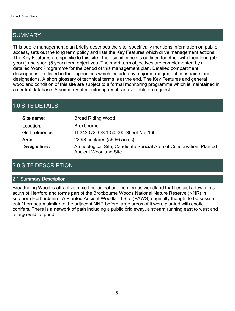## SUMMARY

This public management plan briefly describes the site, specifically mentions information on public access, sets out the long term policy and lists the Key Features which drive management actions. The Key Features are specific to this site - their significance is outlined together with their long (50 year+) and short (5 year) term objectives. The short term objectives are complemented by a detailed Work Programme for the period of this management plan. Detailed compartment descriptions are listed in the appendices which include any major management constraints and designations. A short glossary of technical terms is at the end. The Key Features and general woodland condition of this site are subject to a formal monitoring programme which is maintained in a central database. A summary of monitoring results is available on request.

## 1.0 SITE DETAILS

| Site name:      | <b>Broad Riding Wood</b>                                                                            |
|-----------------|-----------------------------------------------------------------------------------------------------|
| Location:       | <b>Broxbourne</b>                                                                                   |
| Grid reference: | TL342072, OS 1:50,000 Sheet No. 166                                                                 |
| Area:           | 22.93 hectares (56.66 acres)                                                                        |
| Designations:   | Archeological Site, Candidate Special Area of Conservation, Planted<br><b>Ancient Woodland Site</b> |

## 2.0 SITE DESCRIPTION

#### 2.1 Summary Description

Broadriding Wood is attractive mixed broadleaf and coniferous woodland that lies just a few miles south of Hertford and forms part of the Broxbourne Woods National Nature Reserve (NNR) in southern Hertfordshire. A Planted Ancient Woodland Site (PAWS) originally thought to be sessile oak / hornbeam similar to the adjacent NNR before large areas of it were planted with exotic conifers. There is a network of path including a public bridleway, a stream running east to west and a large wildlife pond.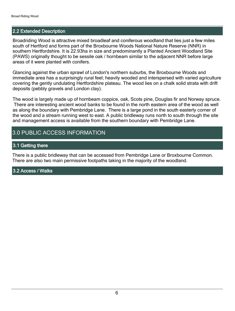#### 2.2 Extended Description

Broadriding Wood is attractive mixed broadleaf and coniferous woodland that lies just a few miles south of Hertford and forms part of the Broxbourne Woods National Nature Reserve (NNR) in southern Hertfordshire. It is 22.93ha in size and predominantly a Planted Ancient Woodland Site (PAWS) originally thought to be sessile oak / hornbeam similar to the adjacent NNR before large areas of it were planted with conifers.

Glancing against the urban sprawl of London's northern suburbs, the Broxbourne Woods and immediate area has a surprisingly rural feel; heavily wooded and interspersed with varied agriculture covering the gently undulating Hertfordshire plateau. The wood lies on a chalk solid strata with drift deposits (pebbly gravels and London clay).

The wood is largely made up of hornbeam coppice, oak, Scots pine, Douglas fir and Norway spruce. There are interesting ancient wood banks to be found in the north eastern area of the wood as well as along the boundary with Pembridge Lane. There is a large pond in the south easterly corner of the wood and a stream running west to east. A public bridleway runs north to south through the site and management access is available from the southern boundary with Pembridge Lane.

## 3.0 PUBLIC ACCESS INFORMATION

#### 3.1 Getting there

There is a public bridleway that can be accessed from Pembridge Lane or Broxbourne Common. There are also two main permissive footpaths taking in the majority of the woodland.

#### 3.2 Access / Walks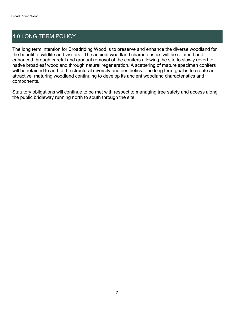## 4.0 LONG TERM POLICY

The long term intention for Broadriding Wood is to preserve and enhance the diverse woodland for the benefit of wildlife and visitors. The ancient woodland characteristics will be retained and enhanced through careful and gradual removal of the conifers allowing the site to slowly revert to native broadleaf woodland through natural regeneration. A scattering of mature specimen conifers will be retained to add to the structural diversity and aesthetics. The long term goal is to create an attractive, maturing woodland continuing to develop its ancient woodland characteristics and components.

Statutory obligations will continue to be met with respect to managing tree safety and access along the public bridleway running north to south through the site.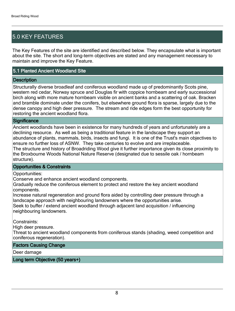## 5.0 KEY FEATURES

The Key Features of the site are identified and described below. They encapsulate what is important about the site. The short and long-term objectives are stated and any management necessary to maintain and improve the Key Feature.

#### 5.1 Planted Ancient Woodland Site

#### **Description**

Structurally diverse broadleaf and coniferous woodland made up of predominantly Scots pine, western red cedar, Norway spruce and Douglas fir with coppice hornbeam and early successional birch along with more mature hornbeam visible on ancient banks and a scattering of oak. Bracken and bramble dominate under the conifers, but elsewhere ground flora is sparse, largely due to the dense canopy and high deer pressure. The stream and ride edges form the best opportunity for restoring the ancient woodland flora.

#### **Significance**

Ancient woodlands have been in existence for many hundreds of years and unfortunately are a declining resource. As well as being a traditional feature in the landscape they support an abundance of plants, mammals, birds, insects and fungi. It is one of the Trust's main objectives to ensure no further loss of ASNW. They take centuries to evolve and are irreplaceable. The structure and history of Broadriding Wood give it further importance given its close proximity to the Broxbourne Woods National Nature Reserve (designated due to sessile oak / hornbeam structure).

#### Opportunities & Constraints

Opportunities:

Conserve and enhance ancient woodland components.

Gradually reduce the coniferous element to protect and restore the key ancient woodland components.

Increase natural regeneration and ground flora aided by controlling deer pressure through a landscape approach with neighbouring landowners where the opportunities arise. Seek to buffer / extend ancient woodland through adjacent land acquisition / influencing neighbouring landowners.

Constraints:

High deer pressure.

Threat to ancient woodland components from coniferous stands (shading, weed competition and coniferous regeneration).

#### Factors Causing Change

Deer damage

Long term Objective (50 years+)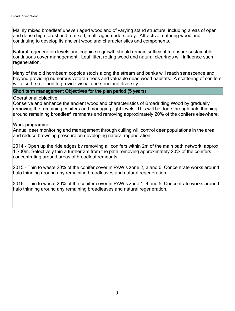Mainly mixed broadleaf uneven aged woodland of varying stand structure, including areas of open and dense high forest and a mixed, multi-aged understorey. Attractive maturing woodland continuing to develop its ancient woodland characteristics and components.

Natural regeneration levels and coppice regrowth should remain sufficient to ensure sustainable continuous cover management. Leaf litter, rotting wood and natural clearings will influence such regeneration.

Many of the old hornbeam coppice stools along the stream and banks will reach senescence and beyond providing numerous veteran trees and valuable dead wood habitats. A scattering of conifers will also be retained to provide visual and structural diversity.

#### Short term management Objectives for the plan period (5 years)

Operational objective:

Conserve and enhance the ancient woodland characteristics of Broadriding Wood by gradually removing the remaining conifers and managing light levels. This will be done through halo thinning around remaining broadleaf remnants and removing approximately 20% of the conifers elsewhere.

Work programme:

Annual deer monitoring and management through culling will control deer populations in the area and reduce browsing pressure on developing natural regeneration.

2014 - Open up the ride edges by removing all conifers within 2m of the main path network, approx. 1,700m. Selectively thin a further 3m from the path removing approximately 20% of the conifers concentrating around areas of broadleaf remnants.

2015 - Thin to waste 20% of the conifer cover in PAW's zone 2, 3 and 6. Concentrate works around halo thinning around any remaining broadleaves and natural regeneration.

2016 - Thin to waste 20% of the conifer cover in PAW's zone 1, 4 and 5. Concentrate works around halo thinning around any remaining broadleaves and natural regeneration.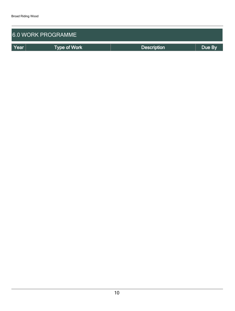| <b>6.0 WORK PROGRAMME</b> |                     |                    |        |  |  |  |  |  |  |
|---------------------------|---------------------|--------------------|--------|--|--|--|--|--|--|
| Year                      | <b>Type of Work</b> | <b>Description</b> | Due By |  |  |  |  |  |  |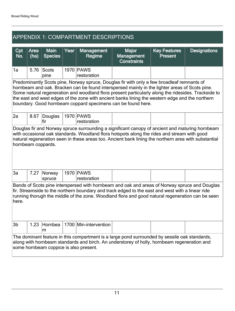| <b>APPENDIX 1: COMPARTMENT DESCRIPTIONS</b>                                                                                                                                                                                                                                                                                                                                                                                                                            |              |                               |      |                             |                                                         |                                       |                     |  |  |  |
|------------------------------------------------------------------------------------------------------------------------------------------------------------------------------------------------------------------------------------------------------------------------------------------------------------------------------------------------------------------------------------------------------------------------------------------------------------------------|--------------|-------------------------------|------|-----------------------------|---------------------------------------------------------|---------------------------------------|---------------------|--|--|--|
| Cpt<br>No.                                                                                                                                                                                                                                                                                                                                                                                                                                                             | Area<br>(ha) | <b>Main</b><br><b>Species</b> | Year | <b>Management</b><br>Regime | <b>Major</b><br><b>Management</b><br><b>Constraints</b> | <b>Key Features</b><br><b>Present</b> | <b>Designations</b> |  |  |  |
| 1a                                                                                                                                                                                                                                                                                                                                                                                                                                                                     | 5.76         | Scots<br>pine                 |      | 1970 PAWS<br>restoration    |                                                         |                                       |                     |  |  |  |
| Predominantly Scots pine, Norway spruce, Douglas fir with only a few broadleaf remnants of<br>hornbeam and oak. Bracken can be found interspersed mainly in the lighter areas of Scots pine.<br>Some natural regeneration and woodland flora present particularly along the ridesides. Trackside to<br>the east and west edges of the zone with ancient banks lining the western edge and the northern<br>boundary. Good hornbeam coppard specimens can be found here. |              |                               |      |                             |                                                         |                                       |                     |  |  |  |
| 2a                                                                                                                                                                                                                                                                                                                                                                                                                                                                     | 8.67         | Douglas<br>lfir               |      | 1970   PAWS<br>restoration  |                                                         |                                       |                     |  |  |  |
| Douglas fir and Norway spruce surrounding a significant canopy of ancient and maturing hornbeam<br>with occasional oak standards. Woodland flora hotspots along the rides and stream with good<br>natural regeneration seen in these areas too. Ancient bank lining the northern area with substantial<br>hornbeam coppards.                                                                                                                                           |              |                               |      |                             |                                                         |                                       |                     |  |  |  |
| 3a                                                                                                                                                                                                                                                                                                                                                                                                                                                                     | 7.27         | Norway<br>spruce              |      | 1970 PAWS<br>restoration    |                                                         |                                       |                     |  |  |  |
| Bands of Scots pine interspersed with hornbeam and oak and areas of Norway spruce and Douglas<br>fir. Streamside to the northern boundary and track edged to the east and west with a linear ride<br>running thorugh the middle of the zone. Woodland flora and good natural regeneration can be seen<br>here.                                                                                                                                                         |              |                               |      |                             |                                                         |                                       |                     |  |  |  |
| 3 <sub>b</sub>                                                                                                                                                                                                                                                                                                                                                                                                                                                         | 1.23         | Hornbea<br>m                  |      | 1700 Min-intervention       |                                                         |                                       |                     |  |  |  |
| The dominant feature in this compartment is a large pond surrounded by sessile oak standards,<br>along with hornbeam standards and birch. An understorey of holly, hornbeam regeneration and<br>some hornbeam coppice is also present.                                                                                                                                                                                                                                 |              |                               |      |                             |                                                         |                                       |                     |  |  |  |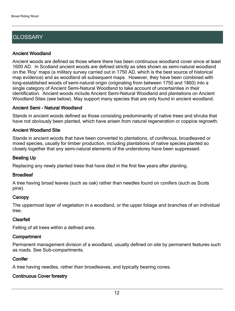## **GLOSSARY**

#### Ancient Woodland

Ancient woods are defined as those where there has been continuous woodland cover since at least 1600 AD. In Scotland ancient woods are defined strictly as sites shown as semi-natural woodland on the 'Roy' maps (a military survey carried out in 1750 AD, which is the best source of historical map evidence) and as woodland all subsequent maps. However, they have been combined with long-established woods of semi-natural origin (originating from between 1750 and 1860) into a single category of Ancient Semi-Natural Woodland to take account of uncertainties in their identification. Ancient woods include Ancient Semi-Natural Woodland and plantations on Ancient Woodland Sites (see below). May support many species that are only found in ancient woodland.

#### Ancient Semi - Natural Woodland

Stands in ancient woods defined as those consisting predominantly of native trees and shrubs that have not obviously been planted, which have arisen from natural regeneration or coppice regrowth.

#### Ancient Woodland Site

Stands in ancient woods that have been converted to plantations, of coniferous, broadleaved or mixed species, usually for timber production, including plantations of native species planted so closely together that any semi-natural elements of the understorey have been suppressed.

#### Beating Up

Replacing any newly planted trees that have died in the first few years after planting.

#### **Broadleaf**

A tree having broad leaves (such as oak) rather than needles found on conifers (such as Scots pine).

#### **Canopy**

The uppermost layer of vegetation in a woodland, or the upper foliage and branches of an individual tree.

#### Clearfell

Felling of all trees within a defined area.

#### **Compartment**

Permanent management division of a woodland, usually defined on site by permanent features such as roads. See Sub-compartments.

#### **Conifer**

A tree having needles, rather than broadleaves, and typically bearing cones.

#### Continuous Cover forestry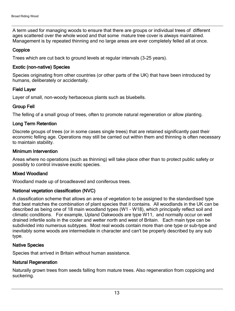A term used for managing woods to ensure that there are groups or individual trees of different ages scattered over the whole wood and that some mature tree cover is always maintained. Management is by repeated thinning and no large areas are ever completely felled all at once.

#### **Coppice**

Trees which are cut back to ground levels at regular intervals (3-25 years).

#### Exotic (non-native) Species

Species originating from other countries (or other parts of the UK) that have been introduced by humans, deliberately or accidentally.

#### Field Layer

Layer of small, non-woody herbaceous plants such as bluebells.

#### Group Fell

The felling of a small group of trees, often to promote natural regeneration or allow planting.

#### Long Term Retention

Discrete groups of trees (or in some cases single trees) that are retained significantly past their economic felling age. Operations may still be carried out within them and thinning is often necessary to maintain stability.

#### Minimum Intervention

Areas where no operations (such as thinning) will take place other than to protect public safety or possibly to control invasive exotic species.

#### Mixed Woodland

Woodland made up of broadleaved and coniferous trees.

#### National vegetation classification (NVC)

A classification scheme that allows an area of vegetation to be assigned to the standardised type that best matches the combination of plant species that it contains. All woodlands in the UK can be described as being one of 18 main woodland types (W1 - W18), which principally reflect soil and climatic conditions. For example, Upland Oakwoods are type W11, and normally occur on well drained infertile soils in the cooler and wetter north and west of Britain. Each main type can be subdivided into numerous subtypes. Most real woods contain more than one type or sub-type and inevitably some woods are intermediate in character and can't be properly described by any sub type.

#### Native Species

Species that arrived in Britain without human assistance.

#### Natural Regeneration

Naturally grown trees from seeds falling from mature trees. Also regeneration from coppicing and suckering.